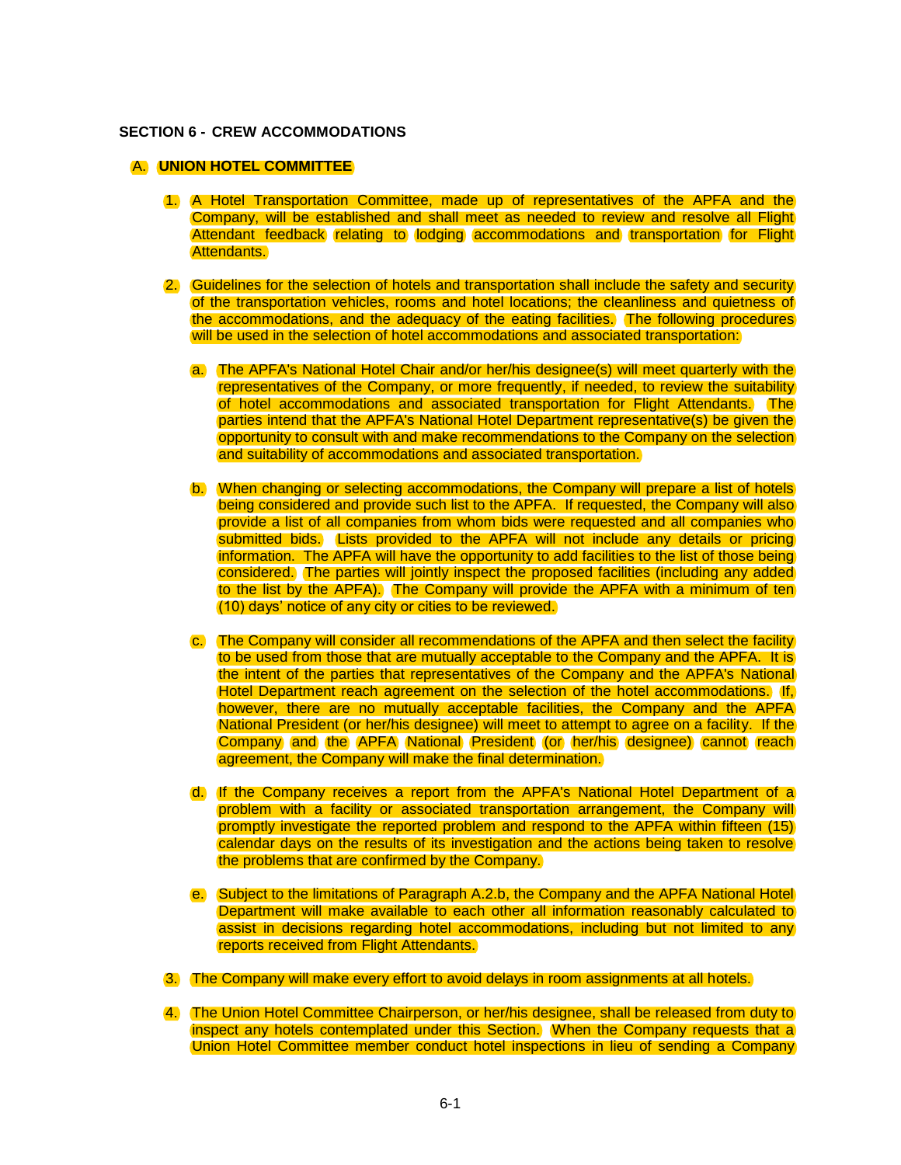## **SECTION 6 - CREW ACCOMMODATIONS**

## A. **UNION HOTEL COMMITTEE**

- 1. A Hotel Transportation Committee, made up of representatives of the APFA and the Company, will be established and shall meet as needed to review and resolve all Flight Attendant feedback relating to lodging accommodations and transportation for Flight Attendants.
- 2. Guidelines for the selection of hotels and transportation shall include the safety and security of the transportation vehicles, rooms and hotel locations; the cleanliness and quietness of the accommodations, and the adequacy of the eating facilities. The following procedures will be used in the selection of hotel accommodations and associated transportation:
	- a. The APFA's National Hotel Chair and/or her/his designee(s) will meet quarterly with the representatives of the Company, or more frequently, if needed, to review the suitability of hotel accommodations and associated transportation for Flight Attendants. The parties intend that the APFA's National Hotel Department representative(s) be given the opportunity to consult with and make recommendations to the Company on the selection and suitability of accommodations and associated transportation.
	- b. When changing or selecting accommodations, the Company will prepare a list of hotels being considered and provide such list to the APFA. If requested, the Company will also provide a list of all companies from whom bids were requested and all companies who submitted bids. Lists provided to the APFA will not include any details or pricing information. The APFA will have the opportunity to add facilities to the list of those being considered. The parties will jointly inspect the proposed facilities (including any added to the list by the APFA). The Company will provide the APFA with a minimum of ten (10) days' notice of any city or cities to be reviewed.
	- c. The Company will consider all recommendations of the APFA and then select the facility to be used from those that are mutually acceptable to the Company and the APFA. It is the intent of the parties that representatives of the Company and the APFA's National Hotel Department reach agreement on the selection of the hotel accommodations. If, however, there are no mutually acceptable facilities, the Company and the APFA National President (or her/his designee) will meet to attempt to agree on a facility. If the Company and the APFA National President (or her/his designee) cannot reach agreement, the Company will make the final determination.
	- d. If the Company receives a report from the APFA's National Hotel Department of a problem with a facility or associated transportation arrangement, the Company will promptly investigate the reported problem and respond to the APFA within fifteen (15) calendar days on the results of its investigation and the actions being taken to resolve the problems that are confirmed by the Company.
	- e. Subject to the limitations of Paragraph A.2.b, the Company and the APFA National Hotel Department will make available to each other all information reasonably calculated to assist in decisions regarding hotel accommodations, including but not limited to any reports received from Flight Attendants.
- 3. The Company will make every effort to avoid delays in room assignments at all hotels.
- 4. The Union Hotel Committee Chairperson, or her/his designee, shall be released from duty to inspect any hotels contemplated under this Section. When the Company requests that a Union Hotel Committee member conduct hotel inspections in lieu of sending a Company